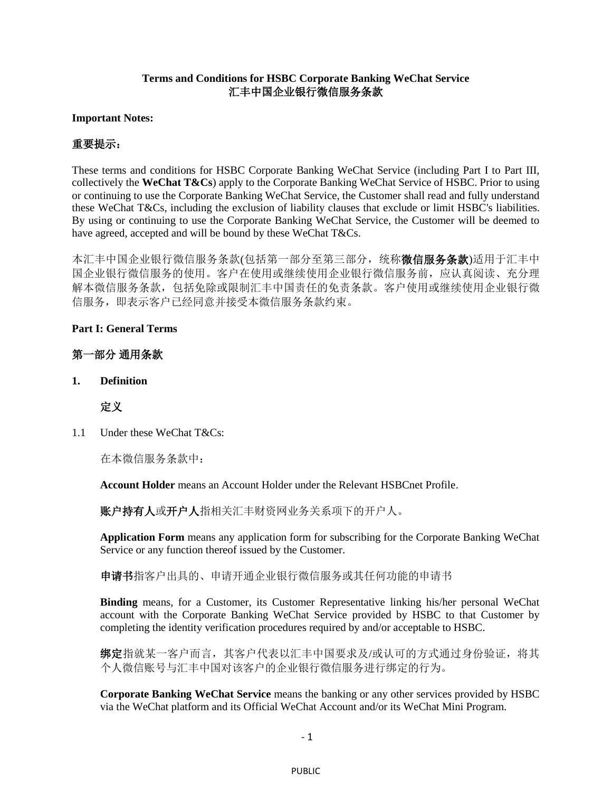#### **Terms and Conditions for HSBC Corporate Banking WeChat Service** 汇丰中国企业银行微信服务条款

#### **Important Notes:**

# 重要提示:

These terms and conditions for HSBC Corporate Banking WeChat Service (including Part I to Part III, collectively the **WeChat T&Cs**) apply to the Corporate Banking WeChat Service of HSBC. Prior to using or continuing to use the Corporate Banking WeChat Service, the Customer shall read and fully understand these WeChat T&Cs, including the exclusion of liability clauses that exclude or limit HSBC's liabilities. By using or continuing to use the Corporate Banking WeChat Service, the Customer will be deemed to have agreed, accepted and will be bound by these WeChat T&Cs.

本汇丰中国企业银行微信服务条款(包括第一部分至第三部分,统称微信服务条款)适用于汇丰中 国企业银行微信服务的使用。客户在使用或继续使用企业银行微信服务前,应认真阅读、充分理 解本微信服务条款,包括免除或限制汇丰中国责任的免责条款。客户使用或继续使用企业银行微 信服务,即表示客户已经同意并接受本微信服务条款约束。

### **Part I: General Terms**

# 第一部分 通用条款

**1. Definition**

### 定义

1.1 Under these WeChat T&Cs:

在本微信服务条款中:

**Account Holder** means an Account Holder under the Relevant HSBCnet Profile.

账户持有人或开户人指相关汇丰财资网业务关系项下的开户人。

**Application Form** means any application form for subscribing for the Corporate Banking WeChat Service or any function thereof issued by the Customer.

申请书指客户出具的、申请开通企业银行微信服务或其任何功能的申请书

**Binding** means, for a Customer, its Customer Representative linking his/her personal WeChat account with the Corporate Banking WeChat Service provided by HSBC to that Customer by completing the identity verification procedures required by and/or acceptable to HSBC.

绑定指就某一客户而言,其客户代表以汇丰中国要求及/或认可的方式通过身份验证,将其 个人微信账号与汇丰中国对该客户的企业银行微信服务进行绑定的行为。

**Corporate Banking WeChat Service** means the banking or any other services provided by HSBC via the WeChat platform and its Official WeChat Account and/or its WeChat Mini Program.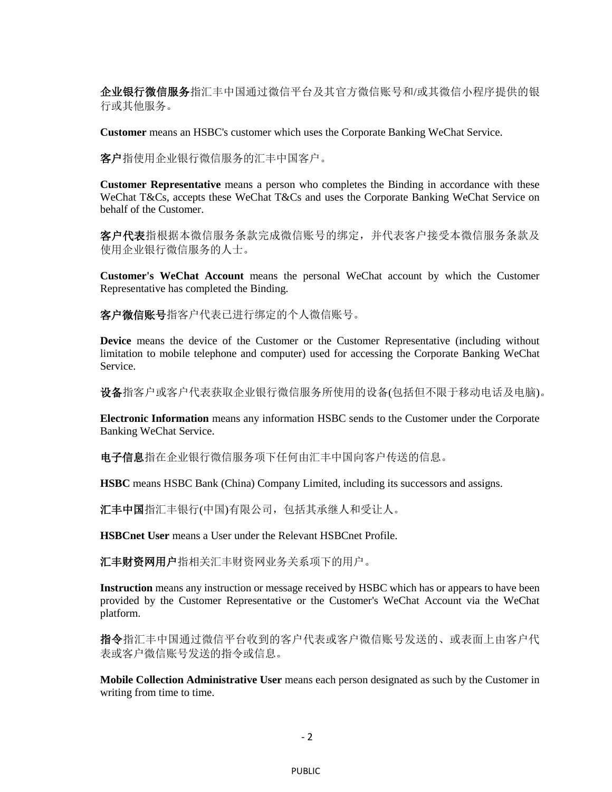企业银行微信服务指汇丰中国通过微信平台及其官方微信账号和/或其微信小程序提供的银 行或其他服务。

**Customer** means an HSBC's customer which uses the Corporate Banking WeChat Service.

客户指使用企业银行微信服务的汇丰中国客户。

**Customer Representative** means a person who completes the Binding in accordance with these WeChat T&Cs, accepts these WeChat T&Cs and uses the Corporate Banking WeChat Service on behalf of the Customer.

客户代表指根据本微信服务条款完成微信账号的绑定,并代表客户接受本微信服务条款及 使用企业银行微信服务的人士。

**Customer's WeChat Account** means the personal WeChat account by which the Customer Representative has completed the Binding.

客户微信账号指客户代表已进行绑定的个人微信账号。

**Device** means the device of the Customer or the Customer Representative (including without limitation to mobile telephone and computer) used for accessing the Corporate Banking WeChat Service.

设备指客户或客户代表获取企业银行微信服务所使用的设备(包括但不限于移动电话及电脑)。

**Electronic Information** means any information HSBC sends to the Customer under the Corporate Banking WeChat Service.

电子信息指在企业银行微信服务项下任何由汇丰中国向客户传送的信息。

**HSBC** means HSBC Bank (China) Company Limited, including its successors and assigns.

汇丰中国指汇丰银行(中国)有限公司,包括其承继人和受让人。

**HSBCnet User** means a User under the Relevant HSBCnet Profile.

汇丰财资网用户指相关汇丰财资网业务关系项下的用户。

**Instruction** means any instruction or message received by HSBC which has or appears to have been provided by the Customer Representative or the Customer's WeChat Account via the WeChat platform.

指令指汇丰中国通过微信平台收到的客户代表或客户微信账号发送的、或表面上由客户代 表或客户微信账号发送的指令或信息。

**Mobile Collection Administrative User** means each person designated as such by the Customer in writing from time to time.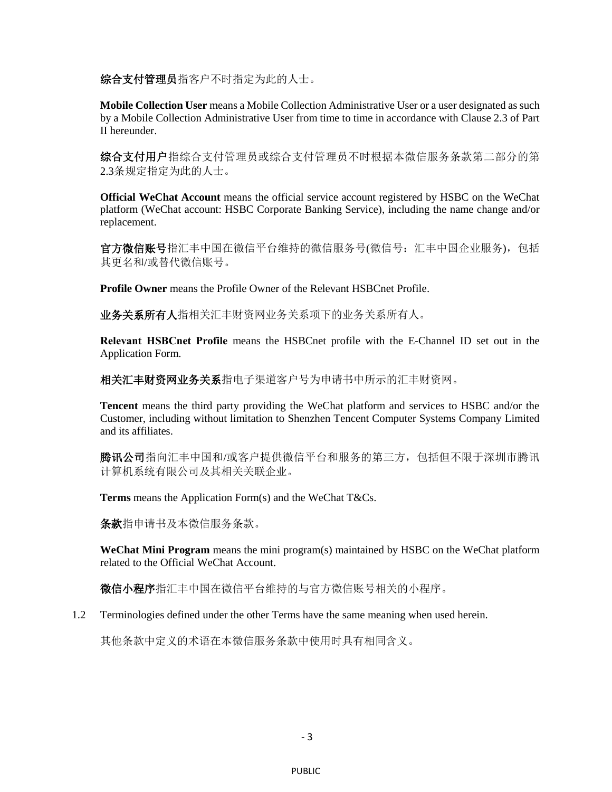综合支付管理员指客户不时指定为此的人士。

**Mobile Collection User** means a Mobile Collection Administrative User or a user designated as such by a Mobile Collection Administrative User from time to time in accordance with Clause [2.3](#page-13-0) of Part II hereunder.

综合支付用户指综合支付管理员不时根据本微信服务条款第二部分的第 [2.3](#page-13-0)条规定指定为此的人士。

**Official WeChat Account** means the official service account registered by HSBC on the WeChat platform (WeChat account: HSBC Corporate Banking Service), including the name change and/or replacement.

官方微信账号指汇丰中国在微信平台维持的微信服务号(微信号:汇丰中国企业服务),包括 其更名和/或替代微信账号。

**Profile Owner** means the Profile Owner of the Relevant HSBCnet Profile.

业务关系所有人指相关汇丰财资网业务关系项下的业务关系所有人。

**Relevant HSBCnet Profile** means the HSBCnet profile with the E-Channel ID set out in the Application Form.

相关汇丰财资网业务关系指电子渠道客户号为申请书中所示的汇丰财资网。

**Tencent** means the third party providing the WeChat platform and services to HSBC and/or the Customer, including without limitation to Shenzhen Tencent Computer Systems Company Limited and its affiliates.

腾讯公司指向汇丰中国和/或客户提供微信平台和服务的第三方,包括但不限于深圳市腾讯 计算机系统有限公司及其相关关联企业。

**Terms** means the Application Form(s) and the WeChat T&Cs.

条款指申请书及本微信服务条款。

**WeChat Mini Program** means the mini program(s) maintained by HSBC on the WeChat platform related to the Official WeChat Account.

微信小程序指汇丰中国在微信平台维持的与官方微信账号相关的小程序。

1.2 Terminologies defined under the other Terms have the same meaning when used herein.

其他条款中定义的术语在本微信服务条款中使用时具有相同含义。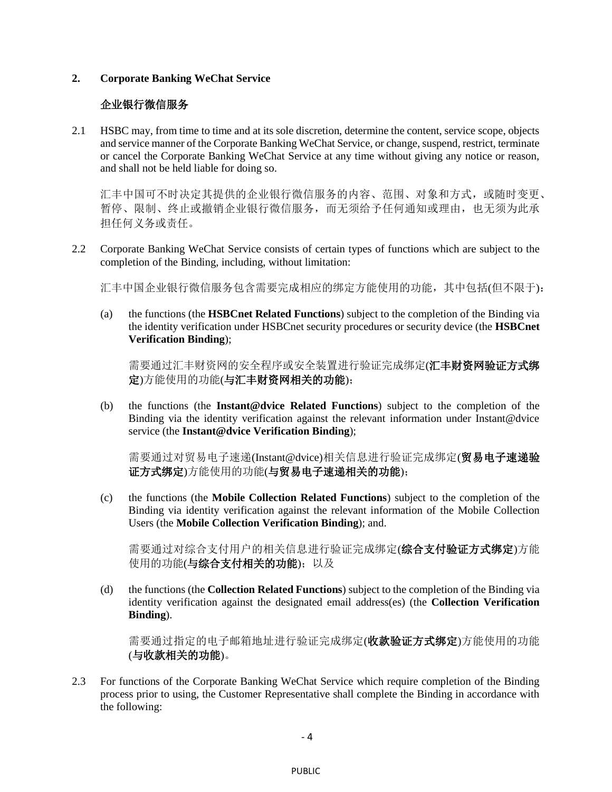#### **2. Corporate Banking WeChat Service**

# 企业银行微信服务

2.1 HSBC may, from time to time and at its sole discretion, determine the content, service scope, objects and service manner of the Corporate Banking WeChat Service, or change, suspend, restrict, terminate or cancel the Corporate Banking WeChat Service at any time without giving any notice or reason, and shall not be held liable for doing so.

汇丰中国可不时决定其提供的企业银行微信服务的内容、范围、对象和方式,或随时变更、 暂停、限制、终止或撤销企业银行微信服务,而无须给予任何通知或理由,也无须为此承 担任何义务或责任。

2.2 Corporate Banking WeChat Service consists of certain types of functions which are subject to the completion of the Binding, including, without limitation:

汇丰中国企业银行微信服务包含需要完成相应的绑定方能使用的功能,其中包括(但不限于):

(a) the functions (the **HSBCnet Related Functions**) subject to the completion of the Binding via the identity verification under HSBCnet security procedures or security device (the **HSBCnet Verification Binding**);

需要通过汇丰财资网的安全程序或安全装置进行验证完成绑定(**汇丰财资网验证方式绑** 定)方能使用的功能(与汇丰财资网相关的功能);

(b) the functions (the **Instant@dvice Related Functions**) subject to the completion of the Binding via the identity verification against the relevant information under Instant@dvice service (the **Instant@dvice Verification Binding**);

需要通过对贸易电子速递(Instant@dvice)相关信息进行验证完成绑定(贸易电子速递验 证方式绑定)方能使用的功能(与贸易电子速递相关的功能);

(c) the functions (the **Mobile Collection Related Functions**) subject to the completion of the Binding via identity verification against the relevant information of the Mobile Collection Users (the **Mobile Collection Verification Binding**); and.

需要通过对综合支付用户的相关信息进行验证完成绑定(综合支付验证方式绑定)方能 使用的功能(与综合支付相关的功能);以及

(d) the functions (the **Collection Related Functions**) subject to the completion of the Binding via identity verification against the designated email address(es) (the **Collection Verification Binding**).

需要通过指定的电子邮箱地址进行验证完成绑定(**收款验证方式绑定**)方能使用的功能 (与收款相关的功能)。

2.3 For functions of the Corporate Banking WeChat Service which require completion of the Binding process prior to using, the Customer Representative shall complete the Binding in accordance with the following: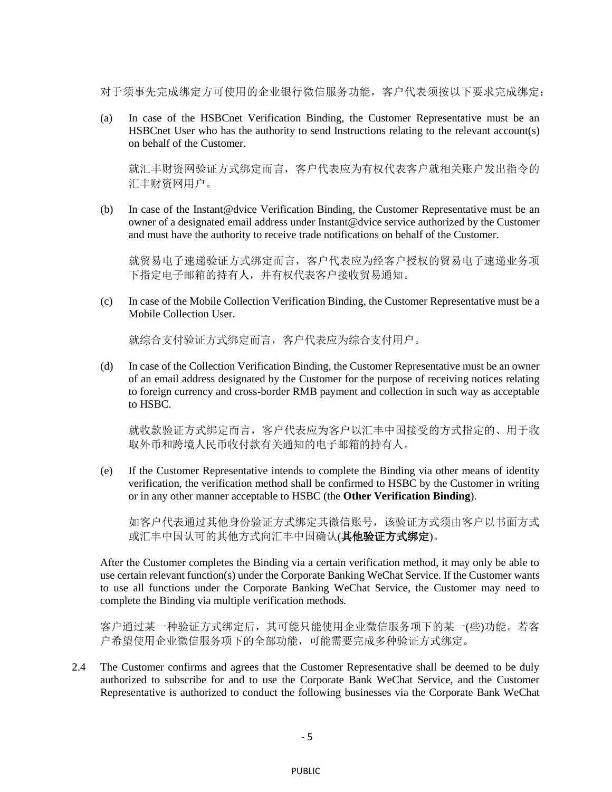对于须事先完成绑定方可使用的企业银行微信服务功能, 客户代表须按以下要求完成绑定:

(a) In case of the HSBCnet Verification Binding, the Customer Representative must be an HSBCnet User who has the authority to send Instructions relating to the relevant account(s) on behalf of the Customer.

就汇丰财资网验证方式绑定而言,客户代表应为有权代表客户就相关账户发出指令的 汇丰财资网用户。

(b) In case of the Instant@dvice Verification Binding, the Customer Representative must be an owner of a designated email address under Instant@dvice service authorized by the Customer and must have the authority to receive trade notifications on behalf of the Customer.

就贸易电子速递验证方式绑定而言,客户代表应为经客户授权的贸易电子速递业务项 下指定电子邮箱的持有人,并有权代表客户接收贸易通知。

(c) In case of the Mobile Collection Verification Binding, the Customer Representative must be a Mobile Collection User.

就综合支付验证方式绑定而言,客户代表应为综合支付用户。

(d) In case of the Collection Verification Binding, the Customer Representative must be an owner of an email address designated by the Customer for the purpose of receiving notices relating to foreign currency and cross-border RMB payment and collection in such way as acceptable to HSBC.

就收款验证方式绑定而言,客户代表应为客户以汇丰中国接受的方式指定的、用于收 取外币和跨境人民币收付款有关通知的电子邮箱的持有人。

(e) If the Customer Representative intends to complete the Binding via other means of identity verification, the verification method shall be confirmed to HSBC by the Customer in writing or in any other manner acceptable to HSBC (the **Other Verification Binding**).

如客户代表通过其他身份验证方式绑定其微信账号,该验证方式须由客户以书面方式 或汇丰中国认可的其他方式向汇丰中国确认(其他验证方式绑定)。

After the Customer completes the Binding via a certain verification method, it may only be able to use certain relevant function(s) under the Corporate Banking WeChat Service. If the Customer wants to use all functions under the Corporate Banking WeChat Service, the Customer may need to complete the Binding via multiple verification methods.

客户通过某一种验证方式绑定后,其可能只能使用企业微信服务项下的某一(些)功能。若客 户希望使用企业微信服务项下的全部功能,可能需要完成多种验证方式绑定。

2.4 The Customer confirms and agrees that the Customer Representative shall be deemed to be duly authorized to subscribe for and to use the Corporate Bank WeChat Service, and the Customer Representative is authorized to conduct the following businesses via the Corporate Bank WeChat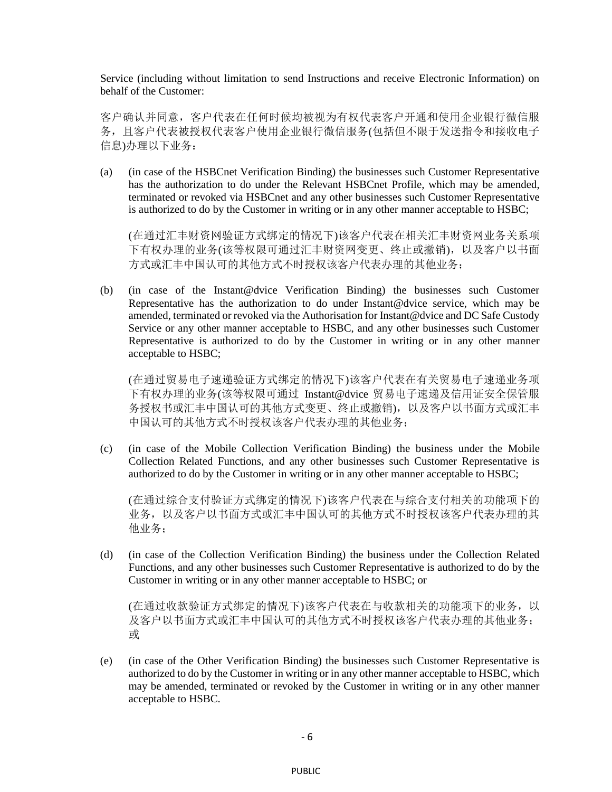Service (including without limitation to send Instructions and receive Electronic Information) on behalf of the Customer:

客户确认并同意,客户代表在任何时候均被视为有权代表客户开通和使用企业银行微信服 务,且客户代表被授权代表客户使用企业银行微信服务(包括但不限于发送指令和接收电子 信息)办理以下业务:

(a) (in case of the HSBCnet Verification Binding) the businesses such Customer Representative has the authorization to do under the Relevant HSBCnet Profile, which may be amended, terminated or revoked via HSBCnet and any other businesses such Customer Representative is authorized to do by the Customer in writing or in any other manner acceptable to HSBC;

(在通过汇丰财资网验证方式绑定的情况下)该客户代表在相关汇丰财资网业务关系项 下有权办理的业务(该等权限可通过汇丰财资网变更、终止或撤销),以及客户以书面 方式或汇丰中国认可的其他方式不时授权该客户代表办理的其他业务;

(b) (in case of the Instant@dvice Verification Binding) the businesses such Customer Representative has the authorization to do under Instant@dvice service, which may be amended, terminated or revoked via the Authorisation for Instant@dvice and DC Safe Custody Service or any other manner acceptable to HSBC, and any other businesses such Customer Representative is authorized to do by the Customer in writing or in any other manner acceptable to HSBC;

(在通过贸易电子速递验证方式绑定的情况下)该客户代表在有关贸易电子速递业务项 下有权办理的业务(该等权限可通过 Instant@dvice 贸易电子速递及信用证安全保管服 务授权书或汇丰中国认可的其他方式变更、终止或撤销),以及客户以书面方式或汇丰 中国认可的其他方式不时授权该客户代表办理的其他业务;

(c) (in case of the Mobile Collection Verification Binding) the business under the Mobile Collection Related Functions, and any other businesses such Customer Representative is authorized to do by the Customer in writing or in any other manner acceptable to HSBC;

(在通过综合支付验证方式绑定的情况下)该客户代表在与综合支付相关的功能项下的 业务,以及客户以书面方式或汇丰中国认可的其他方式不时授权该客户代表办理的其 他业务;

(d) (in case of the Collection Verification Binding) the business under the Collection Related Functions, and any other businesses such Customer Representative is authorized to do by the Customer in writing or in any other manner acceptable to HSBC; or

(在通过收款验证方式绑定的情况下)该客户代表在与收款相关的功能项下的业务,以 及客户以书面方式或汇丰中国认可的其他方式不时授权该客户代表办理的其他业务; 或

(e) (in case of the Other Verification Binding) the businesses such Customer Representative is authorized to do by the Customer in writing or in any other manner acceptable to HSBC, which may be amended, terminated or revoked by the Customer in writing or in any other manner acceptable to HSBC.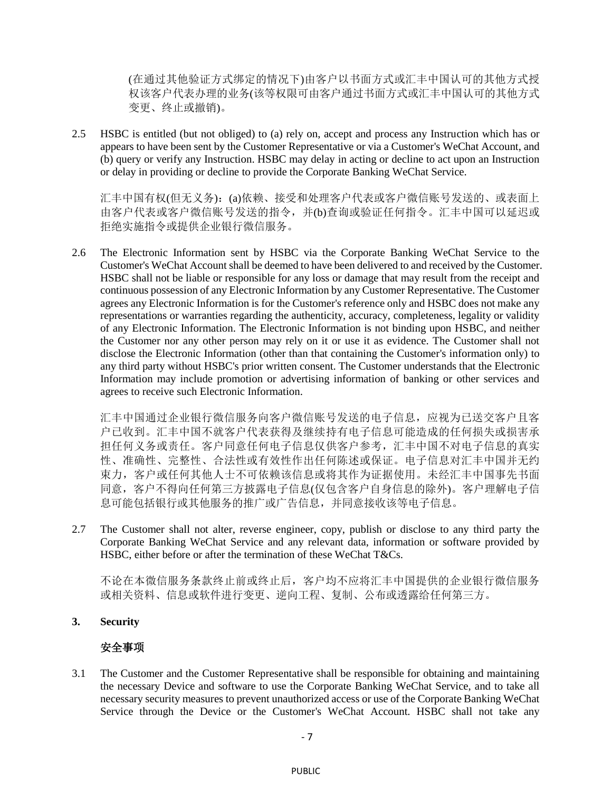(在通过其他验证方式绑定的情况下)由客户以书面方式或汇丰中国认可的其他方式授 权该客户代表办理的业务(该等权限可由客户通过书面方式或汇丰中国认可的其他方式 变更、终止或撤销)。

2.5 HSBC is entitled (but not obliged) to (a) rely on, accept and process any Instruction which has or appears to have been sent by the Customer Representative or via a Customer's WeChat Account, and (b) query or verify any Instruction. HSBC may delay in acting or decline to act upon an Instruction or delay in providing or decline to provide the Corporate Banking WeChat Service.

汇丰中国有权(但无义务):(a)依赖、接受和处理客户代表或客户微信账号发送的、或表面上 由客户代表或客户微信账号发送的指令,并(b)查询或验证任何指令。汇丰中国可以延迟或 拒绝实施指令或提供企业银行微信服务。

2.6 The Electronic Information sent by HSBC via the Corporate Banking WeChat Service to the Customer's WeChat Account shall be deemed to have been delivered to and received by the Customer. HSBC shall not be liable or responsible for any loss or damage that may result from the receipt and continuous possession of any Electronic Information by any Customer Representative. The Customer agrees any Electronic Information is for the Customer's reference only and HSBC does not make any representations or warranties regarding the authenticity, accuracy, completeness, legality or validity of any Electronic Information. The Electronic Information is not binding upon HSBC, and neither the Customer nor any other person may rely on it or use it as evidence. The Customer shall not disclose the Electronic Information (other than that containing the Customer's information only) to any third party without HSBC's prior written consent. The Customer understands that the Electronic Information may include promotion or advertising information of banking or other services and agrees to receive such Electronic Information.

汇丰中国通过企业银行微信服务向客户微信账号发送的电子信息,应视为已送交客户且客 户已收到。汇丰中国不就客户代表获得及继续持有电子信息可能造成的任何损失或损害承 担任何义务或责任。客户同意任何电子信息仅供客户参考,汇丰中国不对电子信息的真实 性、准确性、完整性、合法性或有效性作出任何陈述或保证。电子信息对汇丰中国并无约 束力,客户或任何其他人士不可依赖该信息或将其作为证据使用。未经汇丰中国事先书面 同意,客户不得向任何第三方披露电子信息(仅包含客户自身信息的除外)。客户理解电子信 息可能包括银行或其他服务的推广或广告信息,并同意接收该等电子信息。

<span id="page-6-0"></span>2.7 The Customer shall not alter, reverse engineer, copy, publish or disclose to any third party the Corporate Banking WeChat Service and any relevant data, information or software provided by HSBC, either before or after the termination of these WeChat T&Cs.

不论在本微信服务条款终止前或终止后,客户均不应将汇丰中国提供的企业银行微信服务 或相关资料、信息或软件进行变更、逆向工程、复制、公布或透露给任何第三方。

**3. Security**

# 安全事项

3.1 The Customer and the Customer Representative shall be responsible for obtaining and maintaining the necessary Device and software to use the Corporate Banking WeChat Service, and to take all necessary security measures to prevent unauthorized access or use of the Corporate Banking WeChat Service through the Device or the Customer's WeChat Account. HSBC shall not take any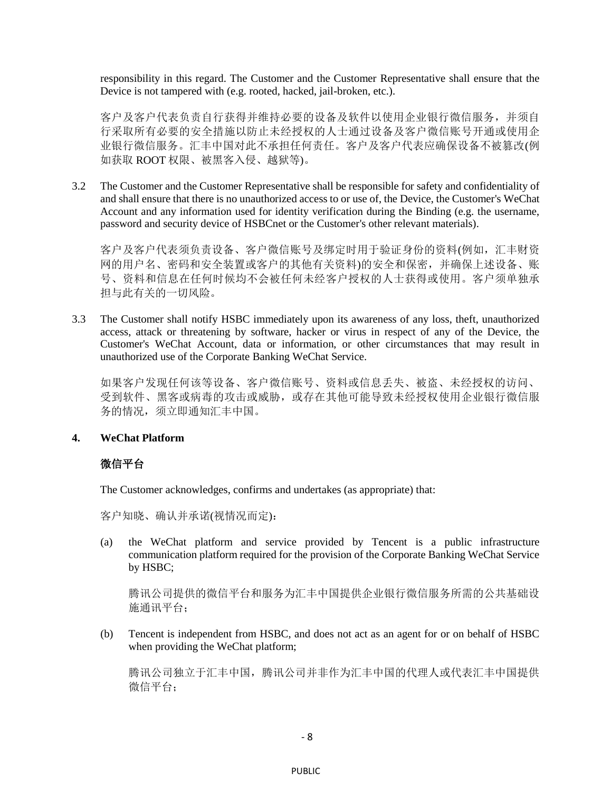responsibility in this regard. The Customer and the Customer Representative shall ensure that the Device is not tampered with (e.g. rooted, hacked, jail-broken, etc.).

客户及客户代表负责自行获得并维持必要的设备及软件以使用企业银行微信服务,并须自 行采取所有必要的安全措施以防止未经授权的人士通过设备及客户微信账号开通或使用企 业银行微信服务。汇丰中国对此不承担任何责任。客户及客户代表应确保设备不被篡改(例 如获取 ROOT 权限、被黑客入侵、越狱等)。

3.2 The Customer and the Customer Representative shall be responsible for safety and confidentiality of and shall ensure that there is no unauthorized access to or use of, the Device, the Customer's WeChat Account and any information used for identity verification during the Binding (e.g. the username, password and security device of HSBCnet or the Customer's other relevant materials).

客户及客户代表须负责设备、客户微信账号及绑定时用于验证身份的资料(例如,汇丰财资 网的用户名、密码和安全装置或客户的其他有关资料)的安全和保密,并确保上述设备、账 号、资料和信息在任何时候均不会被任何未经客户授权的人士获得或使用。客户须单独承 担与此有关的一切风险。

3.3 The Customer shall notify HSBC immediately upon its awareness of any loss, theft, unauthorized access, attack or threatening by software, hacker or virus in respect of any of the Device, the Customer's WeChat Account, data or information, or other circumstances that may result in unauthorized use of the Corporate Banking WeChat Service.

如果客户发现任何该等设备、客户微信账号、资料或信息丢失、被盗、未经授权的访问、 受到软件、黑客或病毒的攻击或威胁,或存在其他可能导致未经授权使用企业银行微信服 务的情况,须立即通知汇丰中国。

### **4. WeChat Platform**

### 微信平台

The Customer acknowledges, confirms and undertakes (as appropriate) that:

客户知晓、确认并承诺(视情况而定):

(a) the WeChat platform and service provided by Tencent is a public infrastructure communication platform required for the provision of the Corporate Banking WeChat Service by HSBC;

腾讯公司提供的微信平台和服务为汇丰中国提供企业银行微信服务所需的公共基础设 施通讯平台;

(b) Tencent is independent from HSBC, and does not act as an agent for or on behalf of HSBC when providing the WeChat platform;

腾讯公司独立于汇丰中国,腾讯公司并非作为汇丰中国的代理人或代表汇丰中国提供 微信平台;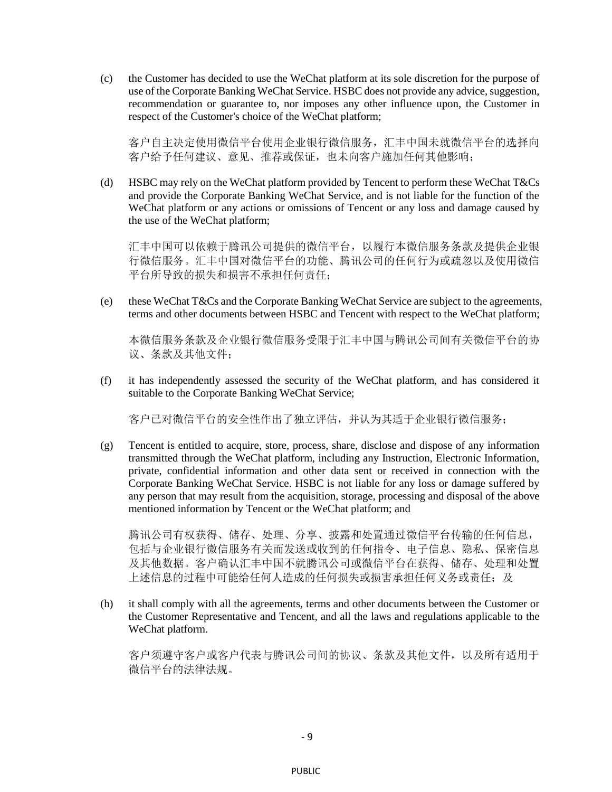(c) the Customer has decided to use the WeChat platform at its sole discretion for the purpose of use of the Corporate Banking WeChat Service. HSBC does not provide any advice, suggestion, recommendation or guarantee to, nor imposes any other influence upon, the Customer in respect of the Customer's choice of the WeChat platform;

客户自主决定使用微信平台使用企业银行微信服务,汇丰中国未就微信平台的选择向 客户给予任何建议、意见、推荐或保证,也未向客户施加任何其他影响;

(d) HSBC may rely on the WeChat platform provided by Tencent to perform these WeChat T&Cs and provide the Corporate Banking WeChat Service, and is not liable for the function of the WeChat platform or any actions or omissions of Tencent or any loss and damage caused by the use of the WeChat platform;

汇丰中国可以依赖于腾讯公司提供的微信平台,以履行本微信服务条款及提供企业银 行微信服务。汇丰中国对微信平台的功能、腾讯公司的任何行为或疏忽以及使用微信 平台所导致的损失和损害不承担任何责任;

(e) these WeChat T&Cs and the Corporate Banking WeChat Service are subject to the agreements, terms and other documents between HSBC and Tencent with respect to the WeChat platform;

本微信服务条款及企业银行微信服务受限于汇丰中国与腾讯公司间有关微信平台的协 议、条款及其他文件;

(f) it has independently assessed the security of the WeChat platform, and has considered it suitable to the Corporate Banking WeChat Service;

客户已对微信平台的安全性作出了独立评估,并认为其适于企业银行微信服务;

(g) Tencent is entitled to acquire, store, process, share, disclose and dispose of any information transmitted through the WeChat platform, including any Instruction, Electronic Information, private, confidential information and other data sent or received in connection with the Corporate Banking WeChat Service. HSBC is not liable for any loss or damage suffered by any person that may result from the acquisition, storage, processing and disposal of the above mentioned information by Tencent or the WeChat platform; and

腾讯公司有权获得、储存、处理、分享、披露和处置通过微信平台传输的任何信息, 包括与企业银行微信服务有关而发送或收到的任何指令、电子信息、隐私、保密信息 及其他数据。客户确认汇丰中国不就腾讯公司或微信平台在获得、储存、处理和处置 上述信息的过程中可能给任何人造成的任何损失或损害承担任何义务或责任;及

(h) it shall comply with all the agreements, terms and other documents between the Customer or the Customer Representative and Tencent, and all the laws and regulations applicable to the WeChat platform.

客户须遵守客户或客户代表与腾讯公司间的协议、条款及其他文件,以及所有适用于 微信平台的法律法规。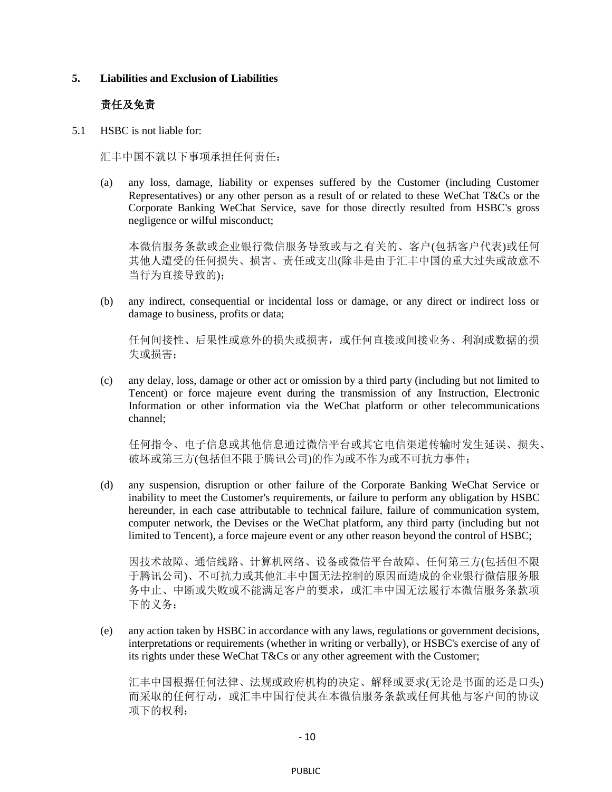#### **5. Liabilities and Exclusion of Liabilities**

#### 责任及免责

5.1 HSBC is not liable for:

汇丰中国不就以下事项承担任何责任:

(a) any loss, damage, liability or expenses suffered by the Customer (including Customer Representatives) or any other person as a result of or related to these WeChat T&Cs or the Corporate Banking WeChat Service, save for those directly resulted from HSBC's gross negligence or wilful misconduct;

本微信服务条款或企业银行微信服务导致或与之有关的、客户(包括客户代表)或任何 其他人遭受的任何损失、损害、责任或支出(除非是由于汇丰中国的重大过失或故意不 当行为直接导致的);

(b) any indirect, consequential or incidental loss or damage, or any direct or indirect loss or damage to business, profits or data;

任何间接性、后果性或意外的损失或损害,或任何直接或间接业务、利润或数据的损 失或损害;

(c) any delay, loss, damage or other act or omission by a third party (including but not limited to Tencent) or force majeure event during the transmission of any Instruction, Electronic Information or other information via the WeChat platform or other telecommunications channel;

任何指令、电子信息或其他信息通过微信平台或其它电信渠道传输时发生延误、损失、 破坏或第三方(包括但不限于腾讯公司)的作为或不作为或不可抗力事件;

(d) any suspension, disruption or other failure of the Corporate Banking WeChat Service or inability to meet the Customer's requirements, or failure to perform any obligation by HSBC hereunder, in each case attributable to technical failure, failure of communication system, computer network, the Devises or the WeChat platform, any third party (including but not limited to Tencent), a force majeure event or any other reason beyond the control of HSBC;

因技术故障、通信线路、计算机网络、设备或微信平台故障、任何第三方(包括但不限 于腾讯公司)、不可抗力或其他汇丰中国无法控制的原因而造成的企业银行微信服务服 务中止、中断或失败或不能满足客户的要求,或汇丰中国无法履行本微信服务条款项 下的义务;

(e) any action taken by HSBC in accordance with any laws, regulations or government decisions, interpretations or requirements (whether in writing or verbally), or HSBC's exercise of any of its rights under these WeChat T&Cs or any other agreement with the Customer;

汇丰中国根据任何法律、法规或政府机构的决定、解释或要求(无论是书面的还是口头) 而采取的任何行动,或汇丰中国行使其在本微信服务条款或任何其他与客户间的协议 项下的权利;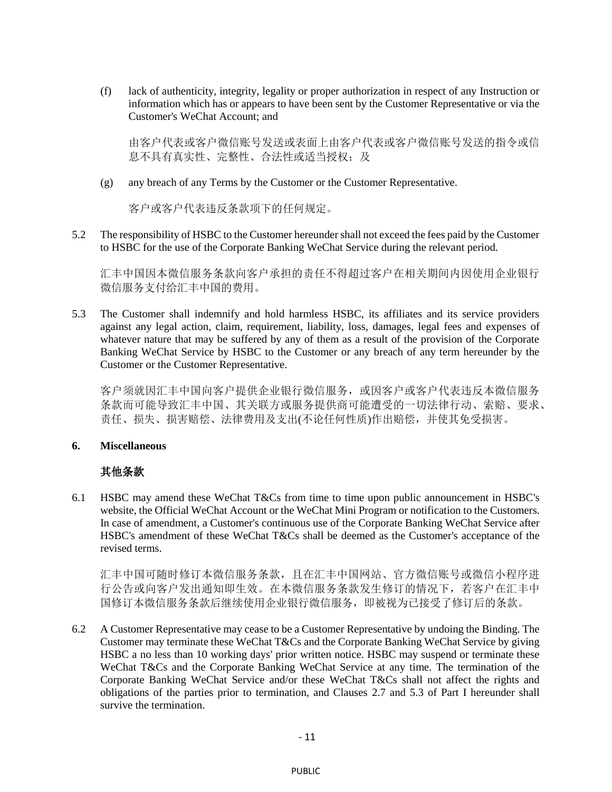(f) lack of authenticity, integrity, legality or proper authorization in respect of any Instruction or information which has or appears to have been sent by the Customer Representative or via the Customer's WeChat Account; and

由客户代表或客户微信账号发送或表面上由客户代表或客户微信账号发送的指令或信 息不具有真实性、完整性、合法性或适当授权;及

(g) any breach of any Terms by the Customer or the Customer Representative.

客户或客户代表违反条款项下的任何规定。

5.2 The responsibility of HSBC to the Customer hereunder shall not exceed the fees paid by the Customer to HSBC for the use of the Corporate Banking WeChat Service during the relevant period.

汇丰中国因本微信服务条款向客户承担的责任不得超过客户在相关期间内因使用企业银行 微信服务支付给汇丰中国的费用。

<span id="page-10-0"></span>5.3 The Customer shall indemnify and hold harmless HSBC, its affiliates and its service providers against any legal action, claim, requirement, liability, loss, damages, legal fees and expenses of whatever nature that may be suffered by any of them as a result of the provision of the Corporate Banking WeChat Service by HSBC to the Customer or any breach of any term hereunder by the Customer or the Customer Representative.

客户须就因汇丰中国向客户提供企业银行微信服务,或因客户或客户代表违反本微信服务 条款而可能导致汇丰中国、其关联方或服务提供商可能遭受的一切法律行动、索赔、要求、 责任、损失、损害赔偿、法律费用及支出(不论任何性质)作出赔偿,并使其免受损害。

### **6. Miscellaneous**

# 其他条款

6.1 HSBC may amend these WeChat T&Cs from time to time upon public announcement in HSBC's website, the Official WeChat Account or the WeChat Mini Program or notification to the Customers. In case of amendment, a Customer's continuous use of the Corporate Banking WeChat Service after HSBC's amendment of these WeChat T&Cs shall be deemed as the Customer's acceptance of the revised terms.

汇丰中国可随时修订本微信服务条款,且在汇丰中国网站、官方微信账号或微信小程序进 行公告或向客户发出通知即生效。在本微信服务条款发生修订的情况下,若客户在汇丰中 国修订本微信服务条款后继续使用企业银行微信服务,即被视为已接受了修订后的条款。

6.2 A Customer Representative may cease to be a Customer Representative by undoing the Binding. The Customer may terminate these WeChat T&Cs and the Corporate Banking WeChat Service by giving HSBC a no less than 10 working days' prior written notice. HSBC may suspend or terminate these WeChat T&Cs and the Corporate Banking WeChat Service at any time. The termination of the Corporate Banking WeChat Service and/or these WeChat T&Cs shall not affect the rights and obligations of the parties prior to termination, and Clauses [2.7](#page-6-0) and [5.3](#page-10-0) of Part I hereunder shall survive the termination.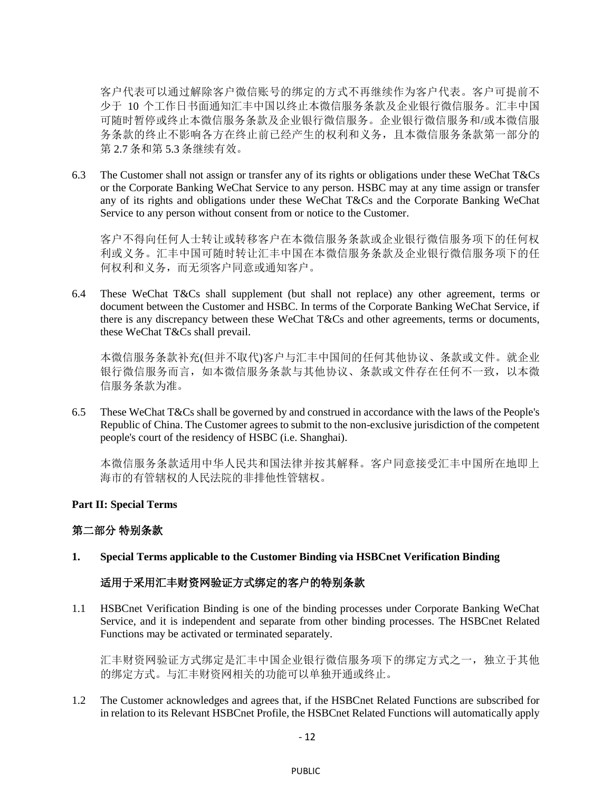客户代表可以通过解除客户微信账号的绑定的方式不再继续作为客户代表。客户可提前不 少于 10 个工作日书面通知汇丰中国以终止本微信服务条款及企业银行微信服务。汇丰中国 可随时暂停或终止本微信服务条款及企业银行微信服务。企业银行微信服务和/或本微信服 务条款的终止不影响各方在终止前已经产生的权利和义务,且本微信服务条款第一部分的 第 [2.7](#page-6-0) 条和第 [5.3](#page-10-0) 条继续有效。

6.3 The Customer shall not assign or transfer any of its rights or obligations under these WeChat T&Cs or the Corporate Banking WeChat Service to any person. HSBC may at any time assign or transfer any of its rights and obligations under these WeChat T&Cs and the Corporate Banking WeChat Service to any person without consent from or notice to the Customer.

客户不得向任何人士转让或转移客户在本微信服务条款或企业银行微信服务项下的任何权 利或义务。汇丰中国可随时转让汇丰中国在本微信服务条款及企业银行微信服务项下的任 何权利和义务,而无须客户同意或通知客户。

6.4 These WeChat T&Cs shall supplement (but shall not replace) any other agreement, terms or document between the Customer and HSBC. In terms of the Corporate Banking WeChat Service, if there is any discrepancy between these WeChat T&Cs and other agreements, terms or documents, these WeChat T&Cs shall prevail.

本微信服务条款补充(但并不取代)客户与汇丰中国间的任何其他协议、条款或文件。就企业 银行微信服务而言,如本微信服务条款与其他协议、条款或文件存在任何不一致,以本微 信服务条款为准。

6.5 These WeChat T&Cs shall be governed by and construed in accordance with the laws of the People's Republic of China. The Customer agrees to submit to the non-exclusive jurisdiction of the competent people's court of the residency of HSBC (i.e. Shanghai).

本微信服务条款适用中华人民共和国法律并按其解释。客户同意接受汇丰中国所在地即上 海市的有管辖权的人民法院的非排他性管辖权。

### **Part II: Special Terms**

### 第二部分 特别条款

**1. Special Terms applicable to the Customer Binding via HSBCnet Verification Binding**

### 适用于采用汇丰财资网验证方式绑定的客户的特别条款

1.1 HSBCnet Verification Binding is one of the binding processes under Corporate Banking WeChat Service, and it is independent and separate from other binding processes. The HSBCnet Related Functions may be activated or terminated separately.

汇丰财资网验证方式绑定是汇丰中国企业银行微信服务项下的绑定方式之一,独立于其他 的绑定方式。与汇丰财资网相关的功能可以单独开通或终止。

1.2 The Customer acknowledges and agrees that, if the HSBCnet Related Functions are subscribed for in relation to its Relevant HSBCnet Profile, the HSBCnet Related Functions will automatically apply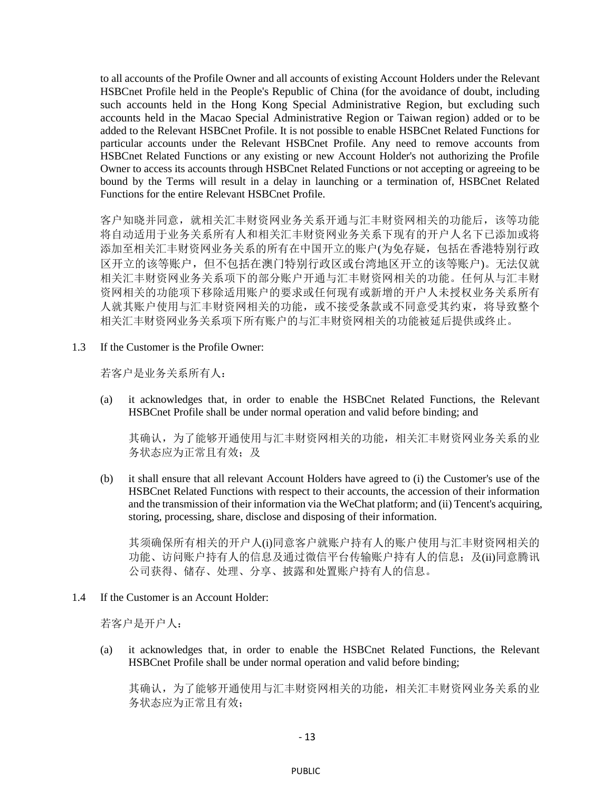to all accounts of the Profile Owner and all accounts of existing Account Holders under the Relevant HSBCnet Profile held in the People's Republic of China (for the avoidance of doubt, including such accounts held in the Hong Kong Special Administrative Region, but excluding such accounts held in the Macao Special Administrative Region or Taiwan region) added or to be added to the Relevant HSBCnet Profile. It is not possible to enable HSBCnet Related Functions for particular accounts under the Relevant HSBCnet Profile. Any need to remove accounts from HSBCnet Related Functions or any existing or new Account Holder's not authorizing the Profile Owner to access its accounts through HSBCnet Related Functions or not accepting or agreeing to be bound by the Terms will result in a delay in launching or a termination of, HSBCnet Related Functions for the entire Relevant HSBCnet Profile.

客户知晓并同意,就相关汇丰财资网业务关系开通与汇丰财资网相关的功能后,该等功能 将自动适用于业务关系所有人和相关汇丰财资网业务关系下现有的开户人名下已添加或将 添加至相关汇丰财资网业务关系的所有在中国开立的账户(为免存疑,包括在香港特别行政 区开立的该等账户,但不包括在澳门特别行政区或台湾地区开立的该等账户)。无法仅就 相关汇丰财资网业务关系项下的部分账户开通与汇丰财资网相关的功能。任何从与汇丰财 资网相关的功能项下移除适用账户的要求或任何现有或新增的开户人未授权业务关系所有 人就其账户使用与汇丰财资网相关的功能,或不接受条款或不同意受其约束,将导致整个 相关汇丰财资网业务关系项下所有账户的与汇丰财资网相关的功能被延后提供或终止。

1.3 If the Customer is the Profile Owner:

若客户是业务关系所有人:

(a) it acknowledges that, in order to enable the HSBCnet Related Functions, the Relevant HSBCnet Profile shall be under normal operation and valid before binding; and

其确认,为了能够开通使用与汇丰财资网相关的功能,相关汇丰财资网业务关系的业 务状态应为正常且有效;及

(b) it shall ensure that all relevant Account Holders have agreed to (i) the Customer's use of the HSBCnet Related Functions with respect to their accounts, the accession of their information and the transmission of their information via the WeChat platform; and (ii) Tencent's acquiring, storing, processing, share, disclose and disposing of their information.

其须确保所有相关的开户人(i)同意客户就账户持有人的账户使用与汇丰财资网相关的 功能、访问账户持有人的信息及通过微信平台传输账户持有人的信息;及(ii)同意腾讯 公司获得、储存、处理、分享、披露和处置账户持有人的信息。

1.4 If the Customer is an Account Holder:

若客户是开户人:

(a) it acknowledges that, in order to enable the HSBCnet Related Functions, the Relevant HSBCnet Profile shall be under normal operation and valid before binding;

其确认,为了能够开通使用与汇丰财资网相关的功能,相关汇丰财资网业务关系的业 务状态应为正常且有效;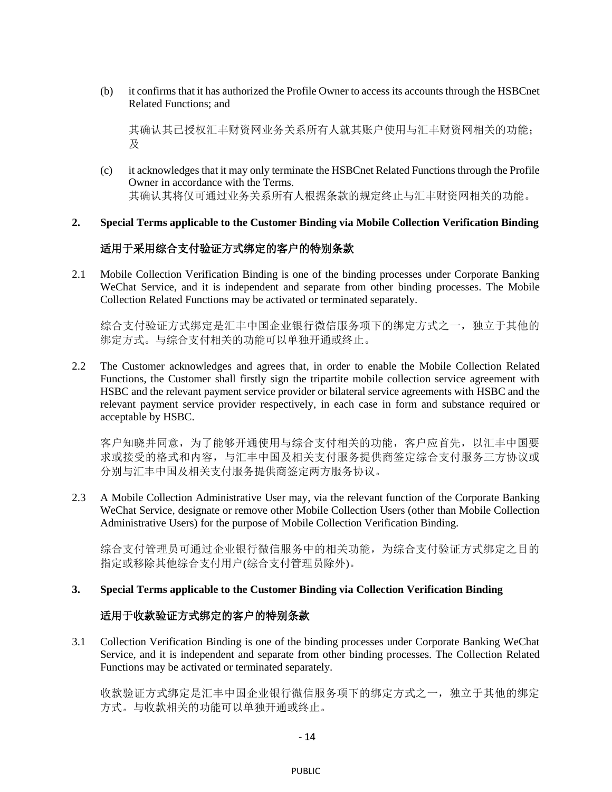(b) it confirms that it has authorized the Profile Owner to access its accounts through the HSBCnet Related Functions; and

其确认其已授权汇丰财资网业务关系所有人就其账户使用与汇丰财资网相关的功能; 及

(c) it acknowledges that it may only terminate the HSBCnet Related Functions through the Profile Owner in accordance with the Terms. 其确认其将仅可通过业务关系所有人根据条款的规定终止与汇丰财资网相关的功能。

# **2. Special Terms applicable to the Customer Binding via Mobile Collection Verification Binding**

# 适用于采用综合支付验证方式绑定的客户的特别条款

2.1 Mobile Collection Verification Binding is one of the binding processes under Corporate Banking WeChat Service, and it is independent and separate from other binding processes. The Mobile Collection Related Functions may be activated or terminated separately.

综合支付验证方式绑定是汇丰中国企业银行微信服务项下的绑定方式之一,独立于其他的 绑定方式。与综合支付相关的功能可以单独开通或终止。

2.2 The Customer acknowledges and agrees that, in order to enable the Mobile Collection Related Functions, the Customer shall firstly sign the tripartite mobile collection service agreement with HSBC and the relevant payment service provider or bilateral service agreements with HSBC and the relevant payment service provider respectively, in each case in form and substance required or acceptable by HSBC.

客户知晓并同意,为了能够开通使用与综合支付相关的功能,客户应首先,以汇丰中国要 求或接受的格式和内容,与汇丰中国及相关支付服务提供商签定综合支付服务三方协议或 分别与汇丰中国及相关支付服务提供商签定两方服务协议。

<span id="page-13-0"></span>2.3 A Mobile Collection Administrative User may, via the relevant function of the Corporate Banking WeChat Service, designate or remove other Mobile Collection Users (other than Mobile Collection Administrative Users) for the purpose of Mobile Collection Verification Binding.

综合支付管理员可通过企业银行微信服务中的相关功能,为综合支付验证方式绑定之目的 指定或移除其他综合支付用户(综合支付管理员除外)。

#### **3. Special Terms applicable to the Customer Binding via Collection Verification Binding**

### 适用于收款验证方式绑定的客户的特别条款

3.1 Collection Verification Binding is one of the binding processes under Corporate Banking WeChat Service, and it is independent and separate from other binding processes. The Collection Related Functions may be activated or terminated separately.

收款验证方式绑定是汇丰中国企业银行微信服务项下的绑定方式之一,独立于其他的绑定 方式。与收款相关的功能可以单独开通或终止。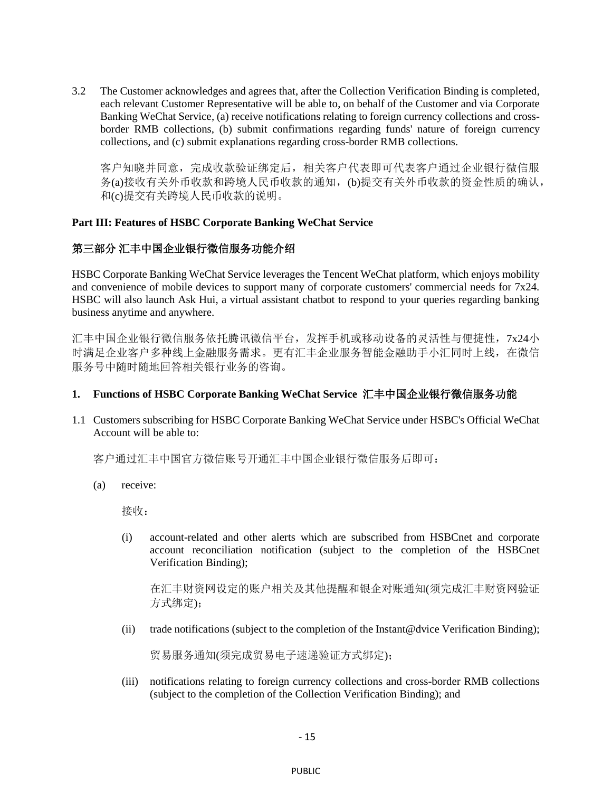3.2 The Customer acknowledges and agrees that, after the Collection Verification Binding is completed, each relevant Customer Representative will be able to, on behalf of the Customer and via Corporate Banking WeChat Service, (a) receive notifications relating to foreign currency collections and crossborder RMB collections, (b) submit confirmations regarding funds' nature of foreign currency collections, and (c) submit explanations regarding cross-border RMB collections.

客户知晓并同意,完成收款验证绑定后,相关客户代表即可代表客户通过企业银行微信服 务(a)接收有关外币收款和跨境人民币收款的通知,(b)提交有关外币收款的资金性质的确认, 和(c)提交有关跨境人民币收款的说明。

#### **Part III: Features of HSBC Corporate Banking WeChat Service**

# 第三部分 汇丰中国企业银行微信服务功能介绍

HSBC Corporate Banking WeChat Service leverages the Tencent WeChat platform, which enjoys mobility and convenience of mobile devices to support many of corporate customers' commercial needs for 7x24. HSBC will also launch Ask Hui, a virtual assistant chatbot to respond to your queries regarding banking business anytime and anywhere.

汇丰中国企业银行微信服务依托腾讯微信平台,发挥手机或移动设备的灵活性与便捷性,7x24小 时满足企业客户多种线上金融服务需求。更有汇丰企业服务智能金融助手小汇同时上线,在微信 服务号中随时随地回答相关银行业务的咨询。

#### **1. Functions of HSBC Corporate Banking WeChat Service** 汇丰中国企业银行微信服务功能

1.1 Customers subscribing for HSBC Corporate Banking WeChat Service under HSBC's Official WeChat Account will be able to:

客户通过汇丰中国官方微信账号开通汇丰中国企业银行微信服务后即可:

(a) receive:

接收:

(i) account-related and other alerts which are subscribed from HSBCnet and corporate account reconciliation notification (subject to the completion of the HSBCnet Verification Binding);

在汇丰财资网设定的账户相关及其他提醒和银企对账通知(须完成汇丰财资网验证 方式绑定);

(ii) trade notifications (subject to the completion of the Instant@dvice Verification Binding);

贸易服务通知(须完成贸易电子速递验证方式绑定);

(iii) notifications relating to foreign currency collections and cross-border RMB collections (subject to the completion of the Collection Verification Binding); and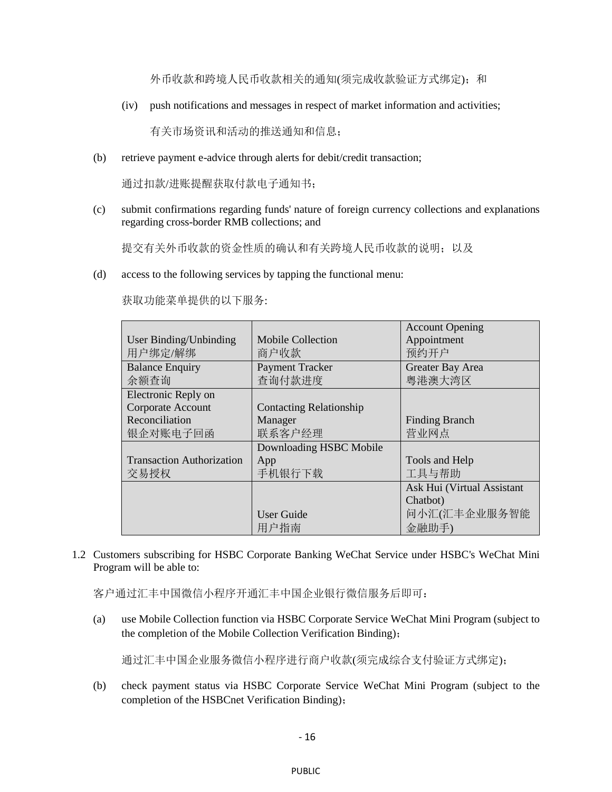外币收款和跨境人民币收款相关的通知(须完成收款验证方式绑定);和

(iv) push notifications and messages in respect of market information and activities;

有关市场资讯和活动的推送通知和信息;

(b) retrieve payment e-advice through alerts for debit/credit transaction;

通过扣款/进账提醒获取付款电子通知书;

(c) submit confirmations regarding funds' nature of foreign currency collections and explanations regarding cross-border RMB collections; and

提交有关外币收款的资金性质的确认和有关跨境人民币收款的说明;以及

(d) access to the following services by tapping the functional menu:

|                                  |                                | <b>Account Opening</b>     |
|----------------------------------|--------------------------------|----------------------------|
| User Binding/Unbinding           | Mobile Collection              | Appointment                |
| 用户绑定/解绑                          | 商户收款                           | 预约开户                       |
| <b>Balance Enquiry</b>           | Payment Tracker                | Greater Bay Area           |
| 余额查询                             | 查询付款进度                         | 粵港澳大湾区                     |
| Electronic Reply on              |                                |                            |
| Corporate Account                | <b>Contacting Relationship</b> |                            |
| Reconciliation                   | Manager                        | <b>Finding Branch</b>      |
| 银企对账电子回函                         | 联系客户经理                         | 营业网点                       |
|                                  | Downloading HSBC Mobile        |                            |
| <b>Transaction Authorization</b> | App                            | Tools and Help             |
| 交易授权                             | 手机银行下载                         | 工具与帮助                      |
|                                  |                                | Ask Hui (Virtual Assistant |
|                                  |                                | Chatbot)                   |
|                                  | <b>User Guide</b>              | 问小汇(汇丰企业服务智能               |
|                                  | 用户指南                           | 金融助手)                      |

获取功能菜单提供的以下服务:

1.2 Customers subscribing for HSBC Corporate Banking WeChat Service under HSBC's WeChat Mini Program will be able to:

客户通过汇丰中国微信小程序开通汇丰中国企业银行微信服务后即可:

(a) use Mobile Collection function via HSBC Corporate Service WeChat Mini Program (subject to the completion of the Mobile Collection Verification Binding);

通过汇丰中国企业服务微信小程序进行商户收款(须完成综合支付验证方式绑定);

(b) check payment status via HSBC Corporate Service WeChat Mini Program (subject to the completion of the HSBCnet Verification Binding);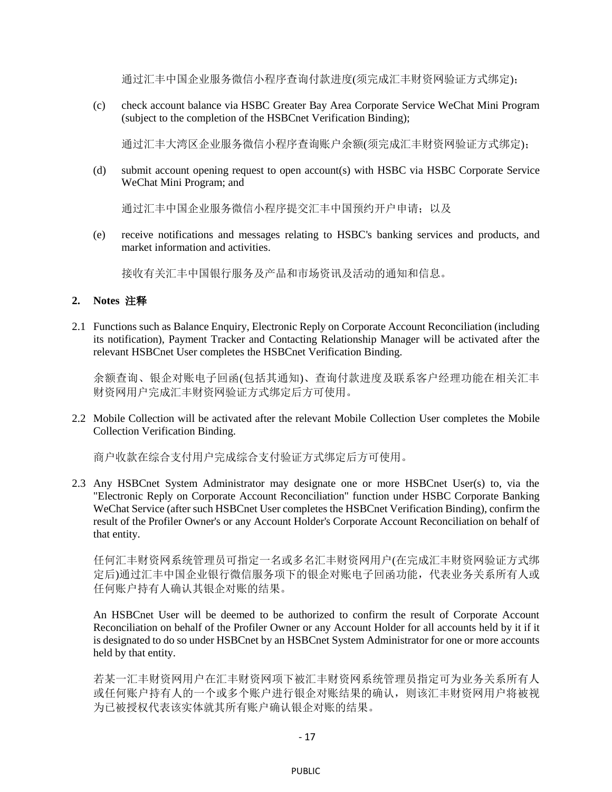通过汇丰中国企业服务微信小程序查询付款进度(须完成汇丰财资网验证方式绑定);

(c) check account balance via HSBC Greater Bay Area Corporate Service WeChat Mini Program (subject to the completion of the HSBCnet Verification Binding);

通过汇丰大湾区企业服务微信小程序查询账户余额(须完成汇丰财资网验证方式绑定);

(d) submit account opening request to open account(s) with HSBC via HSBC Corporate Service WeChat Mini Program; and

通过汇丰中国企业服务微信小程序提交汇丰中国预约开户申请;以及

(e) receive notifications and messages relating to HSBC's banking services and products, and market information and activities.

接收有关汇丰中国银行服务及产品和市场资讯及活动的通知和信息。

#### **2. Notes** 注释

2.1 Functions such as Balance Enquiry, Electronic Reply on Corporate Account Reconciliation (including its notification), Payment Tracker and Contacting Relationship Manager will be activated after the relevant HSBCnet User completes the HSBCnet Verification Binding.

余额查询、银企对账电子回函(包括其通知)、查询付款进度及联系客户经理功能在相关汇丰 财资网用户完成汇丰财资网验证方式绑定后方可使用。

2.2 Mobile Collection will be activated after the relevant Mobile Collection User completes the Mobile Collection Verification Binding.

商户收款在综合支付用户完成综合支付验证方式绑定后方可使用。

2.3 Any HSBCnet System Administrator may designate one or more HSBCnet User(s) to, via the "Electronic Reply on Corporate Account Reconciliation" function under HSBC Corporate Banking WeChat Service (after such HSBCnet User completes the HSBCnet Verification Binding), confirm the result of the Profiler Owner's or any Account Holder's Corporate Account Reconciliation on behalf of that entity.

任何汇丰财资网系统管理员可指定一名或多名汇丰财资网用户(在完成汇丰财资网验证方式绑 定后)通过汇丰中国企业银行微信服务项下的银企对账电子回函功能,代表业务关系所有人或 任何账户持有人确认其银企对账的结果。

An HSBCnet User will be deemed to be authorized to confirm the result of Corporate Account Reconciliation on behalf of the Profiler Owner or any Account Holder for all accounts held by it if it is designated to do so under HSBCnet by an HSBCnet System Administrator for one or more accounts held by that entity.

若某一汇丰财资网用户在汇丰财资网项下被汇丰财资网系统管理员指定可为业务关系所有人 或任何账户持有人的一个或多个账户进行银企对账结果的确认,则该汇丰财资网用户将被视 为已被授权代表该实体就其所有账户确认银企对账的结果。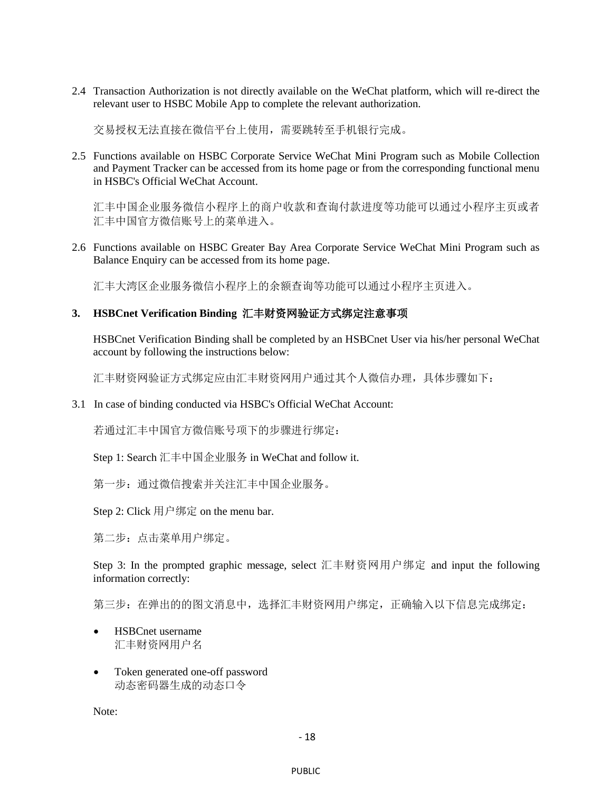2.4 Transaction Authorization is not directly available on the WeChat platform, which will re-direct the relevant user to HSBC Mobile App to complete the relevant authorization.

交易授权无法直接在微信平台上使用,需要跳转至手机银行完成。

2.5 Functions available on HSBC Corporate Service WeChat Mini Program such as Mobile Collection and Payment Tracker can be accessed from its home page or from the corresponding functional menu in HSBC's Official WeChat Account.

汇丰中国企业服务微信小程序上的商户收款和查询付款进度等功能可以通过小程序主页或者 汇丰中国官方微信账号上的菜单进入。

2.6 Functions available on HSBC Greater Bay Area Corporate Service WeChat Mini Program such as Balance Enquiry can be accessed from its home page.

汇丰大湾区企业服务微信小程序上的余额查询等功能可以通过小程序主页进入。

#### **3. HSBCnet Verification Binding** 汇丰财资网验证方式绑定注意事项

HSBCnet Verification Binding shall be completed by an HSBCnet User via his/her personal WeChat account by following the instructions below:

汇丰财资网验证方式绑定应由汇丰财资网用户通过其个人微信办理,具体步骤如下:

3.1 In case of binding conducted via HSBC's Official WeChat Account:

若通过汇丰中国官方微信账号项下的步骤进行绑定:

Step 1: Search 汇丰中国企业服务 in WeChat and follow it.

第一步:通过微信搜索并关注汇丰中国企业服务。

Step 2: Click 用户绑定 on the menu bar.

第二步:点击菜单用户绑定。

Step 3: In the prompted graphic message, select 汇丰财资网用户绑定 and input the following information correctly:

第三步: 在弹出的的图文消息中, 选择汇丰财资网用户绑定, 正确输入以下信息完成绑定:

- HSBCnet username 汇丰财资网用户名
- Token generated one-off password 动态密码器生成的动态口令

Note: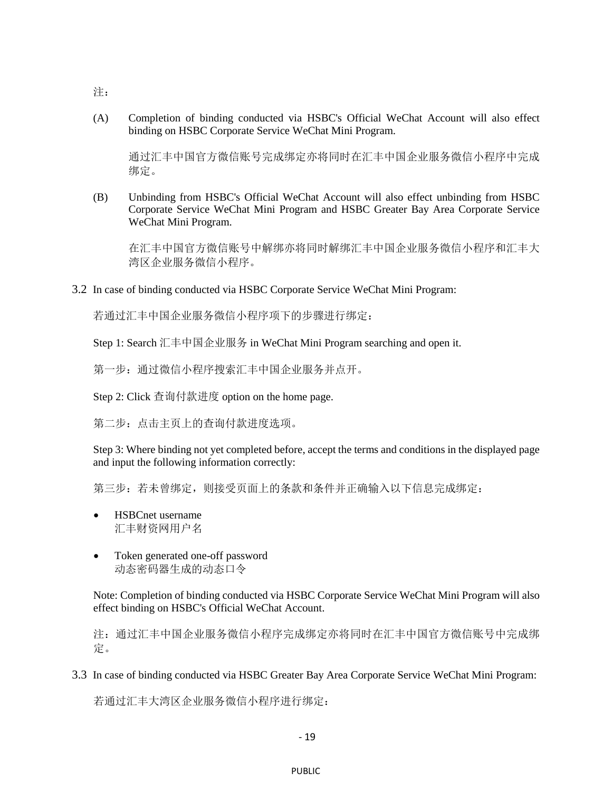(A) Completion of binding conducted via HSBC's Official WeChat Account will also effect binding on HSBC Corporate Service WeChat Mini Program.

通过汇丰中国官方微信账号完成绑定亦将同时在汇丰中国企业服务微信小程序中完成 绑定。

(B) Unbinding from HSBC's Official WeChat Account will also effect unbinding from HSBC Corporate Service WeChat Mini Program and HSBC Greater Bay Area Corporate Service WeChat Mini Program.

在汇丰中国官方微信账号中解绑亦将同时解绑汇丰中国企业服务微信小程序和汇丰大 湾区企业服务微信小程序。

3.2 In case of binding conducted via HSBC Corporate Service WeChat Mini Program:

若通过汇丰中国企业服务微信小程序项下的步骤进行绑定:

Step 1: Search 汇丰中国企业服务 in WeChat Mini Program searching and open it.

第一步:通过微信小程序搜索汇丰中国企业服务并点开。

Step 2: Click 查询付款进度 option on the home page.

第二步:点击主页上的查询付款进度选项。

Step 3: Where binding not yet completed before, accept the terms and conditions in the displayed page and input the following information correctly:

第三步:若未曾绑定,则接受页面上的条款和条件并正确输入以下信息完成绑定:

- HSBCnet username 汇丰财资网用户名
- Token generated one-off password 动态密码器生成的动态口令

Note: Completion of binding conducted via HSBC Corporate Service WeChat Mini Program will also effect binding on HSBC's Official WeChat Account.

注:通过汇丰中国企业服务微信小程序完成绑定亦将同时在汇丰中国官方微信账号中完成绑 定。

3.3 In case of binding conducted via HSBC Greater Bay Area Corporate Service WeChat Mini Program:

若通过汇丰大湾区企业服务微信小程序进行绑定:

- 19

注: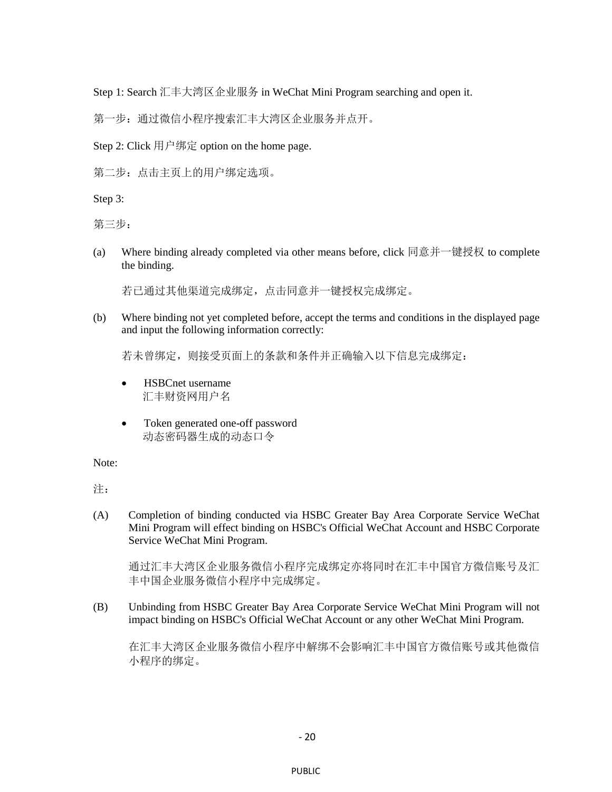Step 1: Search 汇丰大湾区企业服务 in WeChat Mini Program searching and open it.

第一步: 通过微信小程序搜索汇丰大湾区企业服务并点开。

Step 2: Click 用户绑定 option on the home page.

第二步:点击主页上的用户绑定选项。

Step 3:

第三步:

(a) Where binding already completed via other means before, click 同意并一键授权 to complete the binding.

若已通过其他渠道完成绑定,点击同意并一键授权完成绑定。

(b) Where binding not yet completed before, accept the terms and conditions in the displayed page and input the following information correctly:

若未曾绑定,则接受页面上的条款和条件并正确输入以下信息完成绑定:

- HSBCnet username 汇丰财资网用户名
- Token generated one-off password 动态密码器生成的动态口令

Note:

注:

(A) Completion of binding conducted via HSBC Greater Bay Area Corporate Service WeChat Mini Program will effect binding on HSBC's Official WeChat Account and HSBC Corporate Service WeChat Mini Program.

通过汇丰大湾区企业服务微信小程序完成绑定亦将同时在汇丰中国官方微信账号及汇 丰中国企业服务微信小程序中完成绑定。

(B) Unbinding from HSBC Greater Bay Area Corporate Service WeChat Mini Program will not impact binding on HSBC's Official WeChat Account or any other WeChat Mini Program.

在汇丰大湾区企业服务微信小程序中解绑不会影响汇丰中国官方微信账号或其他微信 小程序的绑定。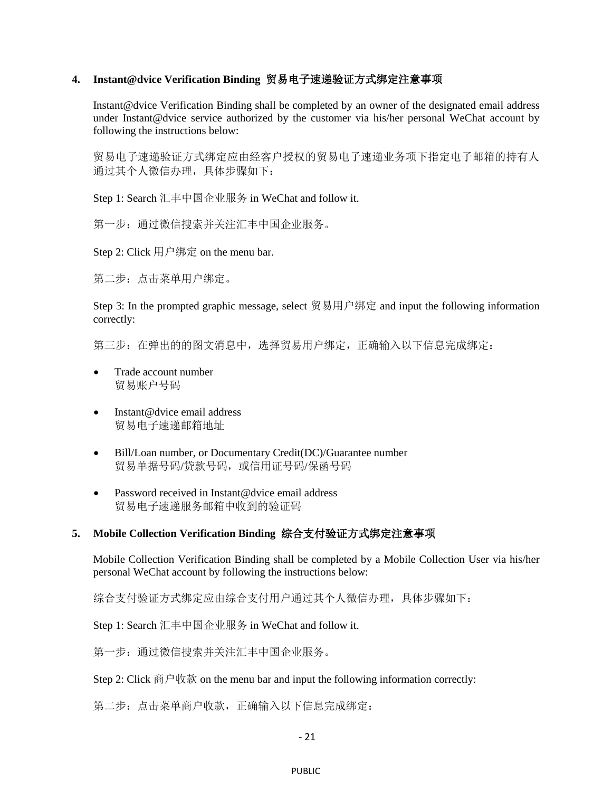### **4. Instant@dvice Verification Binding** 贸易电子速递验证方式绑定注意事项

Instant@dvice Verification Binding shall be completed by an owner of the designated email address under Instant@dvice service authorized by the customer via his/her personal WeChat account by following the instructions below:

贸易电子速递验证方式绑定应由经客户授权的贸易电子速递业务项下指定电子邮箱的持有人 通过其个人微信办理,具体步骤如下:

Step 1: Search 汇丰中国企业服务 in WeChat and follow it.

第一步: 通过微信搜索并关注汇丰中国企业服务。

Step 2: Click 用户绑定 on the menu bar.

第二步:点击菜单用户绑定。

Step 3: In the prompted graphic message, select 贸易用户绑定 and input the following information correctly:

第三步: 在弹出的的图文消息中,选择贸易用户绑定,正确输入以下信息完成绑定:

- Trade account number 贸易账户号码
- Instant@dvice email address 贸易电子速递邮箱地址
- Bill/Loan number, or Documentary Credit(DC)/Guarantee number 贸易单据号码/贷款号码,或信用证号码/保函号码
- Password received in Instant@dvice email address 贸易电子速递服务邮箱中收到的验证码

# **5. Mobile Collection Verification Binding** 综合支付验证方式绑定注意事项

Mobile Collection Verification Binding shall be completed by a Mobile Collection User via his/her personal WeChat account by following the instructions below:

综合支付验证方式绑定应由综合支付用户通过其个人微信办理,具体步骤如下:

Step 1: Search 汇丰中国企业服务 in WeChat and follow it.

第一步:通过微信搜索并关注汇丰中国企业服务。

Step 2: Click 商户收款 on the menu bar and input the following information correctly:

第二步:点击菜单商户收款,正确输入以下信息完成绑定:

- 21

PUBLIC